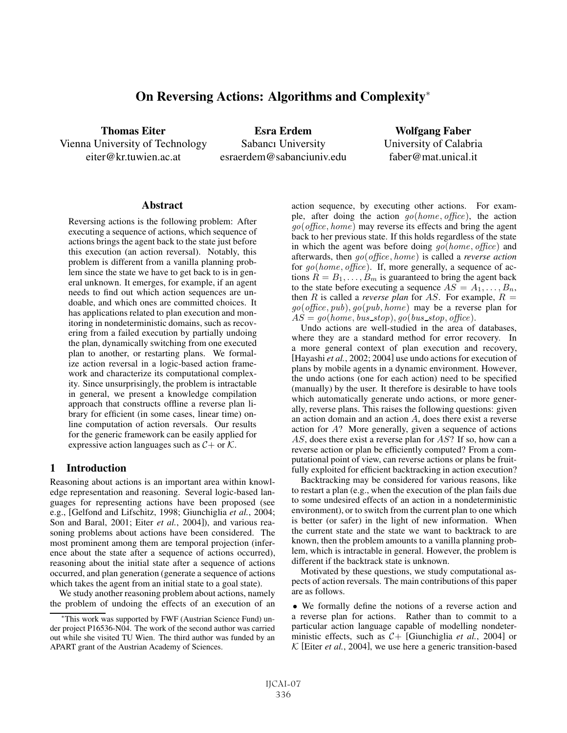# On Reversing Actions: Algorithms and Complexity<sup>∗</sup>

Thomas Eiter Vienna University of Technology eiter@kr.tuwien.ac.at

Esra Erdem Sabancı University esraerdem@sabanciuniv.edu

Wolfgang Faber University of Calabria faber@mat.unical.it

#### **Abstract**

Reversing actions is the following problem: After executing a sequence of actions, which sequence of actions brings the agent back to the state just before this execution (an action reversal). Notably, this problem is different from a vanilla planning problem since the state we have to get back to is in general unknown. It emerges, for example, if an agent needs to find out which action sequences are undoable, and which ones are committed choices. It has applications related to plan execution and monitoring in nondeterministic domains, such as recovering from a failed execution by partially undoing the plan, dynamically switching from one executed plan to another, or restarting plans. We formalize action reversal in a logic-based action framework and characterize its computational complexity. Since unsurprisingly, the problem is intractable in general, we present a knowledge compilation approach that constructs offline a reverse plan library for efficient (in some cases, linear time) online computation of action reversals. Our results for the generic framework can be easily applied for expressive action languages such as  $C +$  or  $K$ .

### 1 Introduction

Reasoning about actions is an important area within knowledge representation and reasoning. Several logic-based languages for representing actions have been proposed (see e.g., [Gelfond and Lifschitz, 1998; Giunchiglia *et al.*, 2004; Son and Baral, 2001; Eiter *et al.*, 2004]), and various reasoning problems about actions have been considered. The most prominent among them are temporal projection (inference about the state after a sequence of actions occurred), reasoning about the initial state after a sequence of actions occurred, and plan generation (generate a sequence of actions which takes the agent from an initial state to a goal state).

We study another reasoning problem about actions, namely the problem of undoing the effects of an execution of an action sequence, by executing other actions. For example, after doing the action  $go(home, offace)$ , the action  $g\circ(\text{offset}, \text{home})$  may reverse its effects and bring the agent back to her previous state. If this holds regardless of the state in which the agent was before doing  $\varphi(\text{home}, \text{offset})$  and afterwards, then go(office, home) is called a *reverse action* for  $go(home, office)$ . If, more generally, a sequence of actions  $R = B_1, \ldots, B_m$  is guaranteed to bring the agent back to the state before executing a sequence  $AS = A_1, \ldots, B_n$ , then R is called a *reverse plan* for AS. For example,  $R =$  $g\circ(\text{offset}, \text{pub}), \text{go}(\text{pub}, \text{home})$  may be a reverse plan for  $AS = qo(home, bus\_stop), qo(bus\_stop, office).$ 

Undo actions are well-studied in the area of databases, where they are a standard method for error recovery. In a more general context of plan execution and recovery, [Hayashi *et al.*, 2002; 2004] use undo actions for execution of plans by mobile agents in a dynamic environment. However, the undo actions (one for each action) need to be specified (manually) by the user. It therefore is desirable to have tools which automatically generate undo actions, or more generally, reverse plans. This raises the following questions: given an action domain and an action A, does there exist a reverse action for A? More generally, given a sequence of actions AS, does there exist a reverse plan for AS? If so, how can a reverse action or plan be efficiently computed? From a computational point of view, can reverse actions or plans be fruitfully exploited for efficient backtracking in action execution?

Backtracking may be considered for various reasons, like to restart a plan (e.g., when the execution of the plan fails due to some undesired effects of an action in a nondeterministic environment), or to switch from the current plan to one which is better (or safer) in the light of new information. When the current state and the state we want to backtrack to are known, then the problem amounts to a vanilla planning problem, which is intractable in general. However, the problem is different if the backtrack state is unknown.

Motivated by these questions, we study computational aspects of action reversals. The main contributions of this paper are as follows.

• We formally define the notions of a reverse action and a reverse plan for actions. Rather than to commit to a particular action language capable of modelling nondeterministic effects, such as C+ [Giunchiglia *et al.*, 2004] or  $K$  [Eiter *et al.*, 2004], we use here a generic transition-based

<sup>∗</sup>This work was supported by FWF (Austrian Science Fund) under project P16536-N04. The work of the second author was carried out while she visited TU Wien. The third author was funded by an APART grant of the Austrian Academy of Sciences.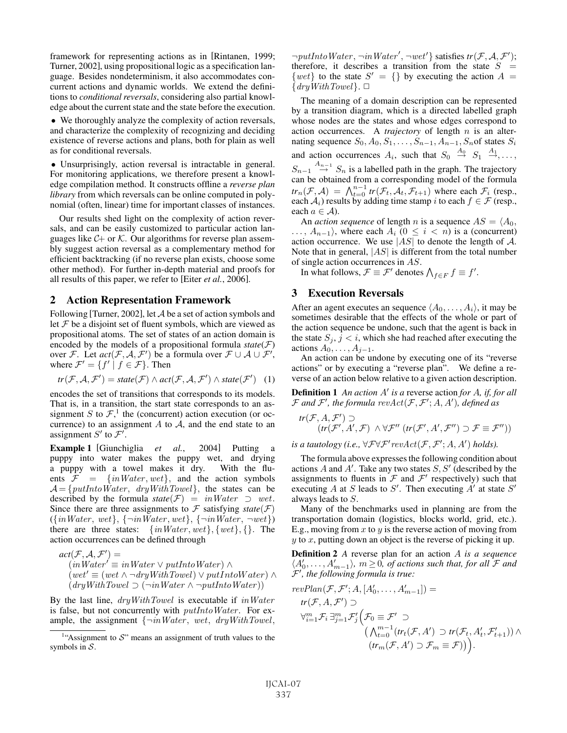framework for representing actions as in [Rintanen, 1999; Turner, 2002], using propositional logic as a specification language. Besides nondeterminism, it also accommodates concurrent actions and dynamic worlds. We extend the definitions to *conditional reversals*, considering also partial knowledge about the current state and the state before the execution.

• We thoroughly analyze the complexity of action reversals, and characterize the complexity of recognizing and deciding existence of reverse actions and plans, both for plain as well as for conditional reversals.

• Unsurprisingly, action reversal is intractable in general. For monitoring applications, we therefore present a knowledge compilation method. It constructs offline a *reverse plan library* from which reversals can be online computed in polynomial (often, linear) time for important classes of instances.

Our results shed light on the complexity of action reversals, and can be easily customized to particular action languages like  $C+$  or  $K$ . Our algorithms for reverse plan assembly suggest action reversal as a complementary method for efficient backtracking (if no reverse plan exists, choose some other method). For further in-depth material and proofs for all results of this paper, we refer to [Eiter *et al.*, 2006].

### 2 Action Representation Framework

Following [Turner, 2002], let A be a set of action symbols and let  $F$  be a disjoint set of fluent symbols, which are viewed as propositional atoms. The set of states of an action domain is encoded by the models of a propositional formula  $state(\mathcal{F})$ over F. Let  $act(F, A, F')$  be a formula over  $F \cup A \cup F'$ , where  $\mathcal{F}' = \{f' \mid f \in \mathcal{F}\}\.$  Then

$$
\mathit{tr}(\mathcal{F}, \mathcal{A}, \mathcal{F}') = \mathit{state}(\mathcal{F}) \land \mathit{act}(\mathcal{F}, \mathcal{A}, \mathcal{F}') \land \mathit{state}(\mathcal{F}') \quad (1)
$$

encodes the set of transitions that corresponds to its models. That is, in a transition, the start state corresponds to an assignment S to  $\mathcal{F}$ ,<sup>1</sup> the (concurrent) action execution (or occurrence) to an assignment  $A$  to  $A$ , and the end state to an assignment  $S'$  to  $\mathcal{F}'$ .

Example 1 [Giunchiglia *et al.*, 2004] Putting a puppy into water makes the puppy wet, and drying a puppy with a towel makes it dry. With the fluents  $F = \{inWater, wet\}$ , and the action symbols  $\mathcal{A} = \{putIntoWater, dryWithTowel\}$ , the states can be described by the formula  $state(\mathcal{F}) = inWater \supset wet$ . Since there are three assignments to  $\mathcal F$  satisfying *state*( $\mathcal F$ )  $({\{inWater, wet\}, \{\neg inWater, wet\}, \{\neg inWater, \neg wet\})$ there are three states:  $\{inWater, wet\}, \{wet\}, \{\}.$  The action occurrences can be defined through

$$
act(\mathcal{F}, \mathcal{A}, \mathcal{F}') =(in Water' \equiv inWater \lor putIntoWater) \land(wet' \equiv (wet \land \neg dryWithTowel) \lor putIntoWater) \land(dryWithTowel \supset (\neg in Water \land \neg putIntoWater))
$$

By the last line,  $dryWithTowel$  is executable if  $inWater$ is false, but not concurrently with *putIntoWater*. For example, the assignment  $\{\neg inWater, wet, dryWithTowel,$ 

 $\neg putIntoWater, \neg inWater', \neg wet'$  satisfies  $tr(\mathcal{F}, \mathcal{A}, \mathcal{F}')$ ; therefore, it describes a transition from the state  $S =$  $\{wet\}$  to the state  $S' = \{\}$  by executing the action  $A =$  $\{dryWithTowel\}$ .  $\Box$ 

The meaning of a domain description can be represented by a transition diagram, which is a directed labelled graph whose nodes are the states and whose edges correspond to action occurrences. A *trajectory* of length n is an alternating sequence  $S_0, A_0, S_1, \ldots, S_{n-1}, A_{n-1}, S_n$  of states  $S_i$ and action occurrences  $A_i$ , such that  $S_0 \stackrel{A_0}{\rightarrow} S_1 \stackrel{A_1}{\rightarrow} \ldots$ ,  $S_{n-1} \stackrel{A_{n-1}}{\rightarrow} S_n$  is a labelled path in the graph. The trajectory can be obtained from a corresponding model of the formula  $tr_n(\mathcal{F}, \mathcal{A}) = \bigwedge_{t=0}^{n-1} tr(\mathcal{F}_t, \mathcal{A}_t, \mathcal{F}_{t+1})$  where each  $\mathcal{F}_i$  (resp., each  $\mathcal{A}_i$ ) results by adding time stamp  $i$  to each  $f \in \mathcal{F}$  (resp., each  $a \in \mathcal{A}$ ).

An *action sequence* of length *n* is a sequence  $AS = \langle A_0, A_1 \rangle$  $\ldots$ ,  $A_{n-1}$ , where each  $A_i$  ( $0 \leq i \leq n$ ) is a (concurrent) action occurrence. We use  $|AS|$  to denote the length of A. Note that in general,  $|AS|$  is different from the total number of single action occurrences in AS.

In what follows,  $\mathcal{F} \equiv \mathcal{F}'$  denotes  $\bigwedge_{f \in F} f \equiv f'.$ 

#### 3 Execution Reversals

After an agent executes an sequence  $\langle A_0, \ldots, A_i \rangle$ , it may be sometimes desirable that the effects of the whole or part of the action sequence be undone, such that the agent is back in the state  $S_j$ ,  $j < i$ , which she had reached after executing the actions  $A_0, \ldots, A_{j-1}$ .

An action can be undone by executing one of its "reverse actions" or by executing a "reverse plan". We define a reverse of an action below relative to a given action description.

Definition 1 An action A' is a reverse action for A, if, for all  $\mathcal F$  and  $\mathcal F'$ , the formula  $revAct(\mathcal F,\mathcal F';A,A'),$  defined as

$$
tr(\mathcal{F}, A, \mathcal{F}') \supset (tr(\mathcal{F}', A', \mathcal{F}) \land \forall \mathcal{F}'' \ (tr(\mathcal{F}', A', \mathcal{F}'') \supset \mathcal{F} \equiv \mathcal{F}''))
$$

is a tautology (i.e.,  $\forall \mathcal{F} \forall \mathcal{F}' \text{revAct}(\mathcal{F}, \mathcal{F}'; A, A')$  holds).

The formula above expresses the following condition about actions A and  $A'$ . Take any two states  $S, S'$  (described by the assignments to fluents in  $\mathcal F$  and  $\mathcal F'$  respectively) such that executing A at S leads to S'. Then executing  $A'$  at state S' always leads to S.

Many of the benchmarks used in planning are from the transportation domain (logistics, blocks world, grid, etc.). E.g., moving from  $x$  to  $y$  is the reverse action of moving from  $y$  to  $x$ , putting down an object is the reverse of picking it up.

Definition 2 *A* reverse plan for an action A *is a sequence*  $\langle A'_0, \ldots, A'_{m-1} \rangle$ ,  $m \ge 0$ , of actions such that, for all  $\mathcal F$  and F- *, the following formula is true:*

$$
\begin{aligned}\nrevPlan(\mathcal{F}, \mathcal{F}'; A, [A'_0, \dots, A'_{m-1}]) &= \\
tr(\mathcal{F}, A, \mathcal{F}') & \supset \\
\forall_{i=1}^m \mathcal{F}_i \exists_{j=1}^m \mathcal{F}'_j \Big( \mathcal{F}_0 \equiv \mathcal{F}' \supset \\
&\left( \bigwedge_{t=0}^{m-1} \left( tr_t(\mathcal{F}, A') \supset tr(\mathcal{F}_t, A'_t, \mathcal{F}'_{t+1}) \right) \wedge \right. \\
&\left( tr_m(\mathcal{F}, A') \supset \mathcal{F}_m \equiv \mathcal{F} \right) \Big)\n\end{aligned}
$$

<sup>&</sup>lt;sup>1</sup>"Assignment to  $S$ " means an assignment of truth values to the symbols in  $S$ .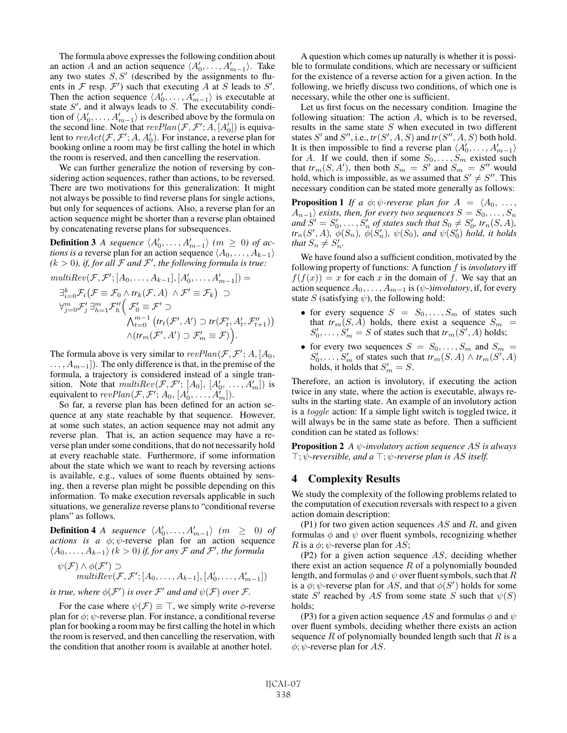The formula above expresses the following condition about an action A and an action sequence  $\langle A'_0, \ldots, A'_{m-1} \rangle$ . Take any two states  $S, S'$  (described by the assignments to fluents in  $\mathcal F$  resp.  $\mathcal F'$ ) such that executing A at S leads to S'. Then the action sequence  $\langle A'_0, \ldots, A'_{m-1} \rangle$  is executable at state  $S'$ , and it always leads to  $S$ . The executability condition of  $\langle A'_0, \ldots, A'_{m-1} \rangle$  is described above by the formula on the second line. Note that  $revPlan(\mathcal{F}, \mathcal{F}'; A, [A'_0])$  is equivalent to  $revAct(\mathcal{F}, \mathcal{F}';A, A'_0)$ . For instance, a reverse plan for booking online a room may be first calling the hotel in which the room is reserved, and then cancelling the reservation.

We can further generalize the notion of reversing by considering action sequences, rather than actions, to be reversed. There are two motivations for this generalization: It might not always be possible to find reverse plans for single actions, but only for sequences of actions. Also, a reverse plan for an action sequence might be shorter than a reverse plan obtained by concatenating reverse plans for subsequences.

**Definition 3** *A sequence*  $\langle A'_0, \ldots, A'_{m-1} \rangle$  ( $m \geq 0$ ) of ac*tions is a* reverse plan for an action sequence  $\langle A_0, \ldots, A_{k-1} \rangle$  $(k > 0)$ , if, for all  $\mathcal F$  and  $\mathcal F'$ , the following formula is true:

$$
\begin{aligned}\n\text{multiRev}(\mathcal{F}, \mathcal{F}'; [A_0, \dots, A_{k-1}], [A'_0, \dots, A'_{m-1}]) &= \\
\exists_{i=0}^k \mathcal{F}_i(\mathcal{F} \equiv \mathcal{F}_0 \land \text{tr}_k(\mathcal{F}, A) \land \mathcal{F}' \equiv \mathcal{F}_k) \supset \\
\forall_{j=0}^m \mathcal{F}'_j \exists_{h=1}^m \mathcal{F}''_h(\mathcal{F}'_0 \equiv \mathcal{F}' \supset \\
&\qquad \qquad \bigwedge_{t=0}^{m-1} (\text{tr}_t(\mathcal{F}', A') \supset \text{tr}(\mathcal{F}'_t, A'_t, \mathcal{F}''_{t+1})) \\
&\qquad \qquad \bigwedge (\text{tr}_m(\mathcal{F}', A') \supset \mathcal{F}'_m \equiv \mathcal{F})\big)\n\end{aligned}
$$

The formula above is very similar to  $revPlan(\mathcal{F}, \mathcal{F}'; A, [A_0, \mathcal{F}']$  $\dots, A_{m-1}]$ ). The only difference is that, in the premise of the formula, a trajectory is considered instead of a single transition. Note that  $multiRev(\mathcal{F}, \mathcal{F}'; [A_0], [A'_0, \ldots, A'_m])$  is equivalent to  $revPlan(\mathcal{F}, \mathcal{F}'; A_0, [A'_0, \ldots, A'_m]).$ 

So far, a reverse plan has been defined for an action sequence at any state reachable by that sequence. However, at some such states, an action sequence may not admit any reverse plan. That is, an action sequence may have a reverse plan under some conditions, that do not necessarily hold at every reachable state. Furthermore, if some information about the state which we want to reach by reversing actions is available, e.g., values of some fluents obtained by sensing, then a reverse plan might be possible depending on this information. To make execution reversals applicable in such situations, we generalize reverse plans to "conditional reverse plans" as follows.

**Definition 4** *A* sequence  $\langle A'_0, \ldots, A'_{m-1} \rangle$  ( $m \geq 0$ ) of *actions is a*  $\phi$ ;  $\bar{\psi}$ -reverse plan for an action sequence  $\langle A_0, \ldots, A_{k-1} \rangle$  ( $k > 0$ ) if, for any  $\mathcal F$  and  $\mathcal F'$ , the formula

$$
\psi(\mathcal{F}) \wedge \phi(\mathcal{F}') \supset \mathit{multiRev}(\mathcal{F}, \mathcal{F}'; [A_0, \ldots, A_{k-1}], [A'_0, \ldots, A'_{m-1}])
$$

*is true, where*  $\phi(\mathcal{F}')$  *is over*  $\mathcal{F}'$  *and and*  $\psi(\mathcal{F})$  *over*  $\mathcal{F}$ *.* 

For the case where  $\psi(\mathcal{F}) \equiv \top$ , we simply write  $\phi$ -reverse plan for  $\phi$ ;  $\psi$ -reverse plan. For instance, a conditional reverse plan for booking a room may be first calling the hotel in which the room is reserved, and then cancelling the reservation, with the condition that another room is available at another hotel.

A question which comes up naturally is whether it is possible to formulate conditions, which are necessary or sufficient for the existence of a reverse action for a given action. In the following, we briefly discuss two conditions, of which one is necessary, while the other one is sufficient.

Let us first focus on the necessary condition. Imagine the following situation: The action  $A$ , which is to be reversed, results in the same state S when executed in two different states S' and S'', i.e.,  $tr(S', A, S)$  and  $tr(S'', A, S)$  both hold. It is then impossible to find a reverse plan  $\langle A'_0, \ldots, A'_{m-1} \rangle$ for A. If we could, then if some  $S_0, \ldots, S_m$  existed such that  $tr_m(S, A')$ , then both  $S_m = S'$  and  $S_m = S''$  would hold, which is impossible, as we assumed that  $S' \neq S''$ . This necessary condition can be stated more generally as follows:

**Proposition 1** If a  $\phi$ ;  $\psi$ -reverse plan for  $A = \langle A_0, \ldots, A_n \rangle$  $A_{n-1}$  *exists, then, for every two sequences*  $S = S_0, \ldots, S_n$ and  $S' = S'_0, \ldots, S'_n$  of states such that  $S_0 \neq S'_0$ ,  $tr_n(S, A)$ ,  $tr_n(S', A)$ ,  $\phi(S_n)$ ,  $\phi(S'_n)$ ,  $\psi(S_0)$ , and  $\psi(S'_0)$  hold, it holds *that*  $S_n \neq S'_n$ .

We have found also a sufficient condition, motivated by the following property of functions: A function f is *involutory* iff  $f(f(x)) = x$  for each x in the domain of f. We say that an action sequence  $A_0, \ldots, A_{m-1}$  is  $(\psi$ -*)involutory*, if, for every state S (satisfying  $\psi$ ), the following hold:

- for every sequence  $S = S_0, \ldots, S_m$  of states such that  $tr_m(S, A)$  holds, there exist a sequence  $S_m$  =  $S'_0, \ldots, S'_m = S$  of states such that  $tr_m(\tilde{S}', A)$  holds;
- for every two sequences  $S = S_0, \ldots, S_m$  and  $S_m =$  $S'_0, \ldots, S'_m$  of states such that  $tr_m(S, A) \wedge tr_m(S', A)$ holds, it holds that  $S'_m = S$ .

Therefore, an action is involutory, if executing the action twice in any state, where the action is executable, always results in the starting state. An example of an involutory action is a toggle action: If a simple light switch is toggled twice, it will always be in the same state as before. Then a sufficient condition can be stated as follows:

Proposition 2 *A* ψ*-involutory action sequence* AS *is always*  $\top$ ;  $\psi$ -reversible, and a  $\top$ ;  $\psi$ -reverse plan is AS itself.

# 4 Complexity Results

We study the complexity of the following problems related to the computation of execution reversals with respect to a given action domain description:

(P1) for two given action sequences  $AS$  and  $R$ , and given formulas  $\phi$  and  $\psi$  over fluent symbols, recognizing whether R is a  $\phi$ ;  $\psi$ -reverse plan for AS;

(P2) for a given action sequence AS, deciding whether there exist an action sequence  $R$  of a polynomially bounded length, and formulas  $\phi$  and  $\psi$  over fluent symbols, such that R is a  $\phi$ ;  $\psi$ -reverse plan for AS, and that  $\phi(S')$  holds for some state S<sup>'</sup> reached by AS from some state S such that  $\psi(S)$ holds;

(P3) for a given action sequence AS and formulas  $\phi$  and  $\psi$ over fluent symbols, deciding whether there exists an action sequence  $R$  of polynomially bounded length such that  $R$  is a  $\phi$ ;  $\psi$ -reverse plan for AS.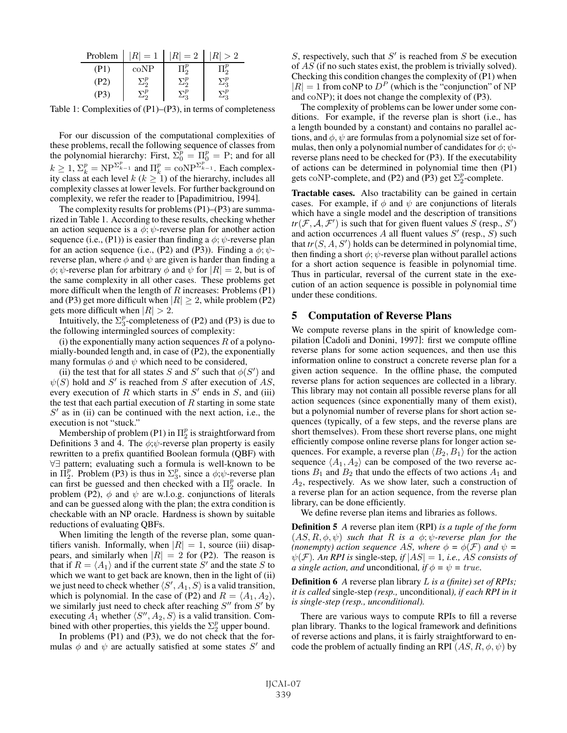| Problem | $ R =1$ | $=2$            | > 2 |
|---------|---------|-----------------|-----|
| (PI)    | coNP    |                 |     |
| (P2     |         | $\cdot$ $\cdot$ |     |
|         |         |                 |     |

Table 1: Complexities of (P1)–(P3), in terms of completeness

For our discussion of the computational complexities of these problems, recall the following sequence of classes from the polynomial hierarchy: First,  $\Sigma_0^p = \Pi_0^p = P$ ; and for all  $k \ge 1$ ,  $\Sigma_k^p = \text{NP}^{\Sigma_{k-1}^p}$  and  $\Pi_k^p = \text{coNP}^{\Sigma_{k-1}^p}$ . Each complexity class at each level  $k$  ( $k \geq 1$ ) of the hierarchy, includes all complexity classes at lower levels. For further background on complexity, we refer the reader to [Papadimitriou, 1994].

The complexity results for problems (P1)–(P3) are summarized in Table 1. According to these results, checking whether an action sequence is a  $\phi$ ;  $\psi$ -reverse plan for another action sequence (i.e., (P1)) is easier than finding a  $\phi$ ;  $\psi$ -reverse plan for an action sequence (i.e., (P2) and (P3)). Finding a  $\phi$ ;  $\psi$ reverse plan, where  $\phi$  and  $\psi$  are given is harder than finding a  $\phi$ ;  $\psi$ -reverse plan for arbitrary  $\phi$  and  $\psi$  for  $|R| = 2$ , but is of the same complexity in all other cases. These problems get more difficult when the length of  $R$  increases: Problems (P1) and (P3) get more difficult when  $|R| \ge 2$ , while problem (P2) gets more difficult when  $|R| > 2$ .

Intuitively, the  $\Sigma_3^p$ -completeness of (P2) and (P3) is due to the following intermingled sources of complexity:

(i) the exponentially many action sequences  $R$  of a polynomially-bounded length and, in case of (P2), the exponentially many formulas  $\phi$  and  $\psi$  which need to be considered,

(ii) the test that for all states S and S' such that  $\phi(S')$  and  $\psi(S)$  hold and S' is reached from S after execution of AS, every execution of  $R$  which starts in  $S'$  ends in  $S$ , and (iii) the test that each partial execution of  $R$  starting in some state  $S'$  as in (ii) can be continued with the next action, i.e., the execution is not "stuck."

Membership of problem (P1) in  $\Pi_2^p$  is straightforward from Definitions 3 and 4. The  $\phi$ ; $\psi$ -reverse plan property is easily rewritten to a prefix quantified Boolean formula (QBF) with ∀∃ pattern; evaluating such a formula is well-known to be in  $\Pi_2^p$ . Problem (P3) is thus in  $\Sigma_3^p$ , since a  $\phi$ ; $\psi$ -reverse plan can first be guessed and then checked with a  $\Pi_2^p$  oracle. In problem (P2),  $\phi$  and  $\psi$  are w.l.o.g. conjunctions of literals and can be guessed along with the plan; the extra condition is checkable with an NP oracle. Hardness is shown by suitable reductions of evaluating QBFs.

When limiting the length of the reverse plan, some quantifiers vanish. Informally, when  $|R| = 1$ , source (iii) disappears, and similarly when  $|R| = 2$  for (P2). The reason is that if  $R = \langle A_1 \rangle$  and if the current state S' and the state S to which we want to get back are known, then in the light of (ii) we just need to check whether  $\langle S', A_1, S \rangle$  is a valid transition, which is polynomial. In the case of (P2) and  $R = \langle A_1, A_2 \rangle$ , we similarly just need to check after reaching  $S''$  from  $S'$  by executing  $A_1$  whether  $\langle S'', A_2, S \rangle$  is a valid transition. Combined with other properties, this yields the  $\Sigma_2^p$  upper bound.

In problems (P1) and (P3), we do not check that the formulas  $\phi$  and  $\psi$  are actually satisfied at some states S' and

S, respectively, such that  $S'$  is reached from S be execution of AS (if no such states exist, the problem is trivially solved). Checking this condition changes the complexity of (P1) when  $|R| = 1$  from coNP to  $D<sup>P</sup>$  (which is the "conjunction" of NP and coNP); it does not change the complexity of (P3).

The complexity of problems can be lower under some conditions. For example, if the reverse plan is short (i.e., has a length bounded by a constant) and contains no parallel actions, and  $\phi$ ,  $\psi$  are formulas from a polynomial size set of formulas, then only a polynomial number of candidates for  $\phi$ ;  $\psi$ reverse plans need to be checked for (P3). If the executability of actions can be determined in polynomial time then (P1) gets coNP-complete, and (P2) and (P3) get  $\Sigma_2^p$ -complete.

Tractable cases. Also tractability can be gained in certain cases. For example, if  $\phi$  and  $\psi$  are conjunctions of literals which have a single model and the description of transitions  $tr(\mathcal{F}, \mathcal{A}, \mathcal{F}')$  is such that for given fluent values S (resp., S') and action occurrences A all fluent values  $S'$  (resp.,  $\overline{S}$ ) such that  $tr(S, A, S')$  holds can be determined in polynomial time, then finding a short  $\phi$ ;  $\psi$ -reverse plan without parallel actions for a short action sequence is feasible in polynomial time. Thus in particular, reversal of the current state in the execution of an action sequence is possible in polynomial time under these conditions.

## 5 Computation of Reverse Plans

We compute reverse plans in the spirit of knowledge compilation [Cadoli and Donini, 1997]: first we compute offline reverse plans for some action sequences, and then use this information online to construct a concrete reverse plan for a given action sequence. In the offline phase, the computed reverse plans for action sequences are collected in a library. This library may not contain all possible reverse plans for all action sequences (since exponentially many of them exist), but a polynomial number of reverse plans for short action sequences (typically, of a few steps, and the reverse plans are short themselves). From these short reverse plans, one might efficiently compose online reverse plans for longer action sequences. For example, a reverse plan  $\langle B_2, B_1 \rangle$  for the action sequence  $\langle A_1, A_2 \rangle$  can be composed of the two reverse actions  $B_1$  and  $B_2$  that undo the effects of two actions  $A_1$  and  $A_2$ , respectively. As we show later, such a construction of a reverse plan for an action sequence, from the reverse plan library, can be done efficiently.

We define reverse plan items and libraries as follows.

Definition 5 *A* reverse plan item (RPI) *is a tuple of the form*  $(AS, R, \phi, \psi)$  *such that* R *is a*  $\phi$ ;  $\psi$ -reverse plan for the *(nonempty) action sequence AS, where*  $\phi = \phi(\mathcal{F})$  *and*  $\psi =$  $\psi(\mathcal{F})$ *. An RPI is* single-step, if  $|AS| = 1$ *, i.e., AS consists of a single action, and unconditional, if*  $\phi = \psi = true$ *.* 

Definition 6 *A* reverse plan library L *is a (finite) set of RPIs; it is called* single-step *(resp.,* unconditional*), if each RPI in it is single-step (resp., unconditional).*

There are various ways to compute RPIs to fill a reverse plan library. Thanks to the logical framework and definitions of reverse actions and plans, it is fairly straightforward to encode the problem of actually finding an RPI  $(AS, R, \phi, \psi)$  by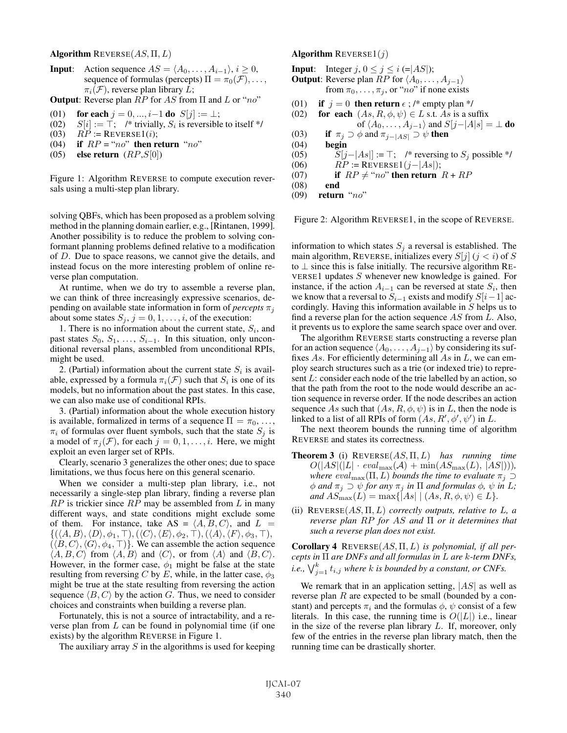Algorithm  $REVERSE(AS, \Pi, L)$ 

**Input**: Action sequence  $AS = \langle A_0, \ldots, A_{i-1} \rangle, i \geq 0$ , sequence of formulas (percepts)  $\Pi = \pi_0(\mathcal{F}), \ldots,$  $\pi_i(\mathcal{F})$ , reverse plan library L;

**Output:** Reverse plan  $RP$  for AS from  $\Pi$  and L or "no"

- (01) for each  $j = 0, ..., i-1$  do  $S[j] := \perp$ ;
- (02)  $S[i] := \top$ ; /\* trivially,  $S_i$  is reversible to itself \*/<br>(03)  $RP := \text{REVERSE1}(i)$ :
- (03)  $RP :=$  REVERSE1(*i*);<br>(04) **if**  $RP = "no"$  then re
- if  $RP = "no"$  then return "no"
- (05) else return  $(RP, S[0])$

Figure 1: Algorithm REVERSE to compute execution reversals using a multi-step plan library.

solving QBFs, which has been proposed as a problem solving method in the planning domain earlier, e.g., [Rintanen, 1999]. Another possibility is to reduce the problem to solving conformant planning problems defined relative to a modification of D. Due to space reasons, we cannot give the details, and instead focus on the more interesting problem of online reverse plan computation.

At runtime, when we do try to assemble a reverse plan, we can think of three increasingly expressive scenarios, depending on available state information in form of *percepts*  $\pi_i$ about some states  $S_j$ ,  $j = 0, 1, \ldots, i$ , of the execution:

1. There is no information about the current state,  $S_i$ , and past states  $S_0, S_1, \ldots, S_{i-1}$ . In this situation, only unconditional reversal plans, assembled from unconditional RPIs, might be used.

2. (Partial) information about the current state  $S_i$  is available, expressed by a formula  $\pi_i(\mathcal{F})$  such that  $S_i$  is one of its models, but no information about the past states. In this case, we can also make use of conditional RPIs.

3. (Partial) information about the whole execution history is available, formalized in terms of a sequence  $\Pi = \pi_0, \ldots,$  $\pi_i$  of formulas over fluent symbols, such that the state  $S_j$  is a model of  $\pi_j(\mathcal{F})$ , for each  $j = 0, 1, \ldots, i$ . Here, we might exploit an even larger set of RPIs.

Clearly, scenario 3 generalizes the other ones; due to space limitations, we thus focus here on this general scenario.

When we consider a multi-step plan library, i.e., not necessarily a single-step plan library, finding a reverse plan  $RP$  is trickier since  $RP$  may be assembled from  $L$  in many different ways, and state conditions might exclude some of them. For instance, take AS =  $\langle A, B, C \rangle$ , and  $L =$  $\{(\langle A, B \rangle, \langle D \rangle, \phi_1, \top), (\langle C \rangle, \langle E \rangle, \phi_2, \top), (\langle A \rangle, \langle F \rangle, \phi_3, \top),$  $(\langle B, C \rangle, \langle G \rangle, \phi_4, \top)$ . We can assemble the action sequence  $\langle A, B, C \rangle$  from  $\langle A, B \rangle$  and  $\langle C \rangle$ , or from  $\langle A \rangle$  and  $\langle B, C \rangle$ . However, in the former case,  $\phi_1$  might be false at the state resulting from reversing C by E, while, in the latter case,  $\phi_3$ might be true at the state resulting from reversing the action sequence  $\langle B, C \rangle$  by the action G. Thus, we need to consider choices and constraints when building a reverse plan.

Fortunately, this is not a source of intractability, and a reverse plan from  $L$  can be found in polynomial time (if one exists) by the algorithm REVERSE in Figure 1.

The auxiliary array  $S$  in the algorithms is used for keeping

#### **Algorithm REVERSE1(j)**

**Input:** Integer  $j, 0 \le j \le i$  (= $|AS|$ ); **Output:** Reverse plan  $RP$  for  $\langle A_0, \ldots, A_{j-1} \rangle$ from  $\pi_0, \ldots, \pi_j$ , or "no" if none exists

- (01) if  $j = 0$  then return  $\epsilon$ ; /\* empty plan \*/
- (02) for each  $(As, R, \phi, \psi) \in L$  s.t. As is a suffix of  $\langle A_0, \ldots, A_{j-1} \rangle$  and  $S[j-|A|s] = \bot$  do (03) if  $\pi_j \supset \phi$  and  $\pi_{j-|AS|} \supset \psi$  then<br>(04) begin
- (04) begin<br>(05)  $S[j]$
- $S[j-|As]| := \top;$  /\* reversing to  $S_j$  possible \*/
- (06)  $RP := \text{REVERSE1}(j |As|);$
- (07) if  $RP \neq "no"$  then return  $R + RP$

```
(08) end
```

```
(09) return "no"
```
Figure 2: Algorithm REVERSE1, in the scope of REVERSE.

information to which states  $S_i$  a reversal is established. The main algorithm, REVERSE, initializes every  $S[j]$  ( $j < i$ ) of S to  $\perp$  since this is false initially. The recursive algorithm RE-VERSE1 updates S whenever new knowledge is gained. For instance, if the action  $A_{i-1}$  can be reversed at state  $S_i$ , then we know that a reversal to  $S_{i-1}$  exists and modify  $S[i-1]$  accordingly. Having this information available in S helps us to find a reverse plan for the action sequence AS from L. Also, it prevents us to explore the same search space over and over.

The algorithm REVERSE starts constructing a reverse plan for an action sequence  $\langle A_0, \ldots, A_{j-1} \rangle$  by considering its suffixes As. For efficiently determining all As in  $L$ , we can employ search structures such as a trie (or indexed trie) to represent L: consider each node of the trie labelled by an action, so that the path from the root to the node would describe an action sequence in reverse order. If the node describes an action sequence As such that  $(As, R, \phi, \psi)$  is in L, then the node is linked to a list of all RPIs of form  $(As, R', \phi', \psi')$  in L.

The next theorem bounds the running time of algorithm REVERSE and states its correctness.

- Theorem 3 (i) REVERSE(AS, Π, L) *has running time*  $O(|AS|(|L| \cdot eval_{\max}(\mathcal{A}) + \min(AS_{\max}(L), |AS|)),$ *where*  $eval_{\text{max}}(\Pi, L)$  *bounds the time to evaluate*  $\pi_j \supset$  $\phi$  *and*  $\pi_j \supset \psi$  *for any*  $\pi_j$  *in*  $\Pi$  *and formulas*  $\phi$ *,*  $\psi$  *in L; and*  $AS_{\text{max}}(L) = \max\{|As| | (As, R, \phi, \psi) \in L\}.$
- (ii) REVERSE(AS, Π, L) *correctly outputs, relative to* L*, a reverse plan* RP *for* AS *and* Π *or it determines that such a reverse plan does not exist.*

Corollary 4 REVERSE(AS, Π, L) *is polynomial, if all percepts in* Π *are DNFs and all formulas in* L *are* k*-term DNFs, i.e.,*  $\bigvee_{j=1}^{k} t_{i,j}$  where k is bounded by a constant, or CNFs.

We remark that in an application setting,  $|AS|$  as well as reverse plan R are expected to be small (bounded by a constant) and percepts  $\pi_i$  and the formulas  $\phi$ ,  $\psi$  consist of a few literals. In this case, the running time is  $O(|L|)$  i.e., linear in the size of the reverse plan library  $L$ . If, moreover, only few of the entries in the reverse plan library match, then the running time can be drastically shorter.